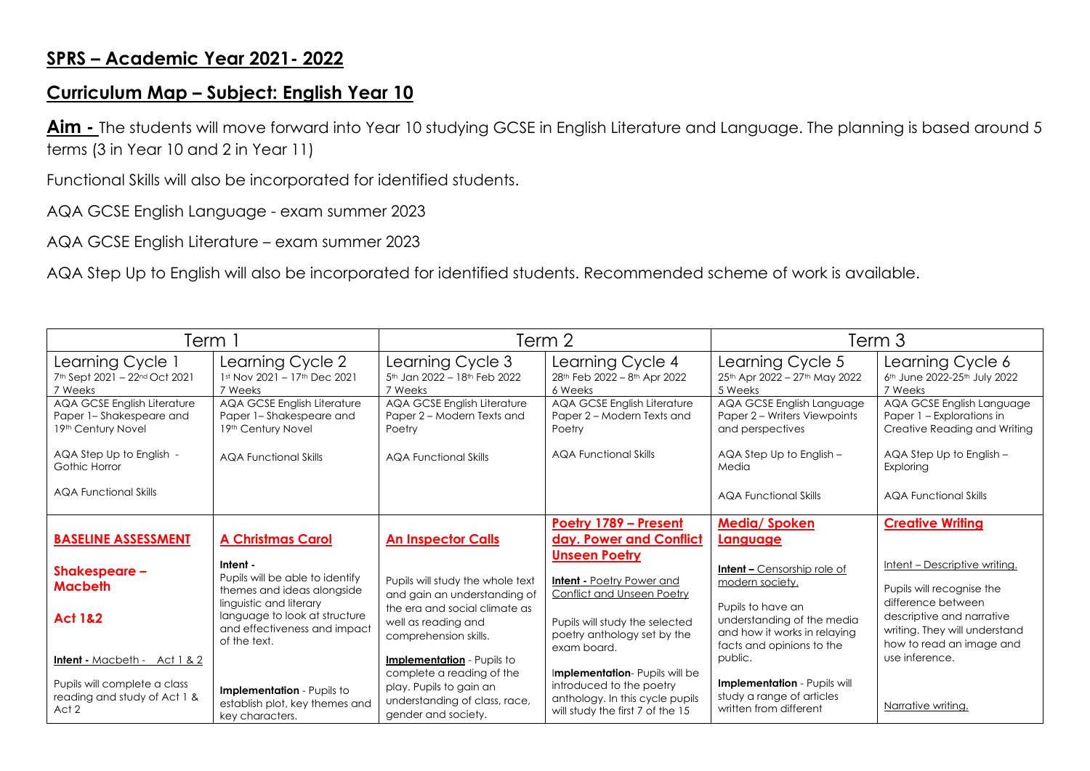## **SPRS – Academic Year 2021- 2022**

## **Curriculum Map – Subject: English Year 10**

**Aim -** The students will move forward into Year 10 studying GCSE in English Literature and Language. The planning is based around 5 terms (3 in Year 10 and 2 in Year 11)

Functional Skills will also be incorporated for identified students.

AQA GCSE English Language - exam summer 2023

AQA GCSE English Literature – exam summer 2023

AQA Step Up to English will also be incorporated for identified students. Recommended scheme of work is available.

| 「erm 1                                                                                                                           |                                                                                                                                                                                       | Term 2                                                                                                                                            |                                                                                                                                                  | Term 3                                                                                                                                   |                                                                                                                                                |  |  |  |  |
|----------------------------------------------------------------------------------------------------------------------------------|---------------------------------------------------------------------------------------------------------------------------------------------------------------------------------------|---------------------------------------------------------------------------------------------------------------------------------------------------|--------------------------------------------------------------------------------------------------------------------------------------------------|------------------------------------------------------------------------------------------------------------------------------------------|------------------------------------------------------------------------------------------------------------------------------------------------|--|--|--|--|
| Learning Cycle 1<br>7th Sept 2021 - 22nd Oct 2021<br>7 Weeks                                                                     | Learning Cycle 2<br>1st Nov 2021 - 17th Dec 2021<br>7 Weeks                                                                                                                           | Learning Cycle 3<br>5th Jan 2022 - 18th Feb 2022<br>7 Weeks                                                                                       | Learning Cycle 4<br>28th Feb 2022 - 8th Apr 2022<br>6 Weeks                                                                                      | Learning Cycle 5<br>25th Apr 2022 - 27th May 2022<br>5 Weeks                                                                             | Learning Cycle 6<br>6 <sup>th</sup> June 2022-25 <sup>th</sup> July 2022<br>7 Weeks                                                            |  |  |  |  |
| <b>AQA GCSE English Literature</b><br>Paper 1-Shakespeare and<br>19th Century Novel<br>AQA Step Up to English -<br>Gothic Horror | AQA GCSE English Literature<br>Paper 1-Shakespeare and<br>19th Century Novel<br><b>AQA Functional Skills</b>                                                                          | AQA GCSE English Literature<br>Paper 2 – Modern Texts and<br>Poetry<br>AQA Functional Skills                                                      | AQA GCSE English Literature<br>Paper 2 – Modern Texts and<br>Poetry<br><b>AQA Functional Skills</b>                                              | AQA GCSE English Language<br>Paper 2 - Writers Viewpoints<br>and perspectives<br>AQA Step Up to English -<br>Media                       | AQA GCSE English Language<br>Paper 1 – Explorations in<br>Creative Reading and Writing<br>AQA Step Up to English -<br>Exploring                |  |  |  |  |
| <b>AQA Functional Skills</b>                                                                                                     |                                                                                                                                                                                       |                                                                                                                                                   |                                                                                                                                                  | <b>AQA Functional Skills</b>                                                                                                             | <b>AQA Functional Skills</b>                                                                                                                   |  |  |  |  |
| <b>BASELINE ASSESSMENT</b>                                                                                                       | <b>A Christmas Carol</b>                                                                                                                                                              | <b>An Inspector Calls</b>                                                                                                                         | Poetry 1789 - Present<br>day. Power and Conflict<br><b>Unseen Poetry</b>                                                                         | <b>Media/Spoken</b><br>Language                                                                                                          | <b>Creative Writing</b>                                                                                                                        |  |  |  |  |
| Shakespeare -<br><b>Macbeth</b><br><b>Act 1&amp;2</b>                                                                            | Intent -<br>Pupils will be able to identify<br>themes and ideas alongside<br>linguistic and literary<br>language to look at structure<br>and effectiveness and impact<br>of the text. | Pupils will study the whole text<br>and gain an understanding of<br>the era and social climate as<br>well as reading and<br>comprehension skills. | <b>Intent - Poetry Power and</b><br><b>Conflict and Unseen Poetry</b><br>Pupils will study the selected<br>poetry anthology set by the           | <b>Intent - Censorship role of</b><br>modern society.<br>Pupils to have an<br>understanding of the media<br>and how it works in relaying | Intent - Descriptive writing.<br>Pupils will recognise the<br>difference between<br>descriptive and narrative<br>writing. They will understand |  |  |  |  |
| <b>Intent</b> - Macbeth - $Act 1 & 2$<br>Pupils will complete a class<br>reading and study of Act 1 &<br>Act 2                   | Implementation - Pupils to<br>establish plot, key themes and<br>key characters.                                                                                                       | <b>Implementation</b> - Pupils to<br>complete a reading of the<br>play. Pupils to gain an<br>understanding of class, race,<br>gender and society. | exam board.<br>Implementation- Pupils will be<br>introduced to the poetry<br>anthology. In this cycle pupils<br>will study the first 7 of the 15 | facts and opinions to the<br>public.<br>Implementation - Pupils will<br>study a range of articles<br>written from different              | how to read an image and<br>use inference.<br>Narrative writing.                                                                               |  |  |  |  |